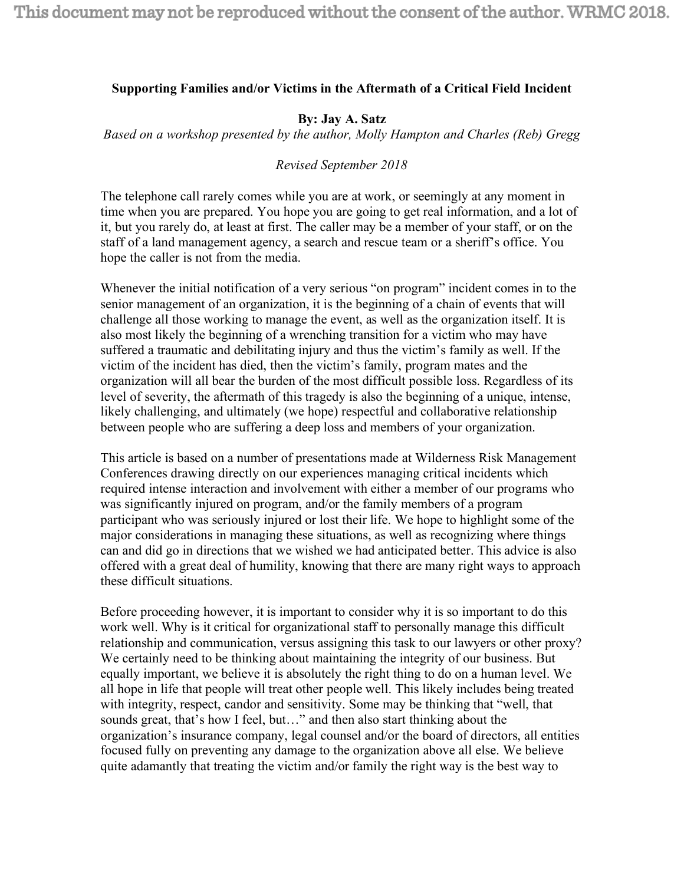## **Supporting Families and/or Victims in the Aftermath of a Critical Field Incident**

## **By: Jay A. Satz**

*Based on a workshop presented by the author, Molly Hampton and Charles (Reb) Gregg*

## *Revised September 2018*

The telephone call rarely comes while you are at work, or seemingly at any moment in time when you are prepared. You hope you are going to get real information, and a lot of it, but you rarely do, at least at first. The caller may be a member of your staff, or on the staff of a land management agency, a search and rescue team or a sheriff's office. You hope the caller is not from the media.

Whenever the initial notification of a very serious "on program" incident comes in to the senior management of an organization, it is the beginning of a chain of events that will challenge all those working to manage the event, as well as the organization itself. It is also most likely the beginning of a wrenching transition for a victim who may have suffered a traumatic and debilitating injury and thus the victim's family as well. If the victim of the incident has died, then the victim's family, program mates and the organization will all bear the burden of the most difficult possible loss. Regardless of its level of severity, the aftermath of this tragedy is also the beginning of a unique, intense, likely challenging, and ultimately (we hope) respectful and collaborative relationship between people who are suffering a deep loss and members of your organization.

This article is based on a number of presentations made at Wilderness Risk Management Conferences drawing directly on our experiences managing critical incidents which required intense interaction and involvement with either a member of our programs who was significantly injured on program, and/or the family members of a program participant who was seriously injured or lost their life. We hope to highlight some of the major considerations in managing these situations, as well as recognizing where things can and did go in directions that we wished we had anticipated better. This advice is also offered with a great deal of humility, knowing that there are many right ways to approach these difficult situations.

Before proceeding however, it is important to consider why it is so important to do this work well. Why is it critical for organizational staff to personally manage this difficult relationship and communication, versus assigning this task to our lawyers or other proxy? We certainly need to be thinking about maintaining the integrity of our business. But equally important, we believe it is absolutely the right thing to do on a human level. We all hope in life that people will treat other people well. This likely includes being treated with integrity, respect, candor and sensitivity. Some may be thinking that "well, that sounds great, that's how I feel, but…" and then also start thinking about the organization's insurance company, legal counsel and/or the board of directors, all entities focused fully on preventing any damage to the organization above all else. We believe quite adamantly that treating the victim and/or family the right way is the best way to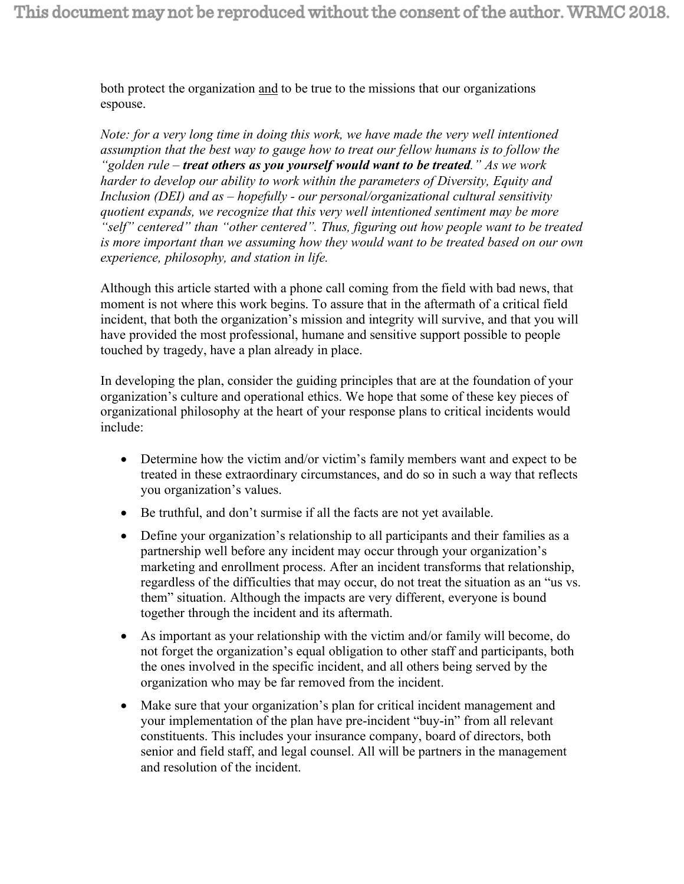both protect the organization and to be true to the missions that our organizations espouse.

*Note: for a very long time in doing this work, we have made the very well intentioned assumption that the best way to gauge how to treat our fellow humans is to follow the "golden rule – treat others as you yourself would want to be treated." As we work harder to develop our ability to work within the parameters of Diversity, Equity and Inclusion (DEI) and as – hopefully - our personal/organizational cultural sensitivity quotient expands, we recognize that this very well intentioned sentiment may be more "self" centered" than "other centered". Thus, figuring out how people want to be treated is more important than we assuming how they would want to be treated based on our own experience, philosophy, and station in life.*

Although this article started with a phone call coming from the field with bad news, that moment is not where this work begins. To assure that in the aftermath of a critical field incident, that both the organization's mission and integrity will survive, and that you will have provided the most professional, humane and sensitive support possible to people touched by tragedy, have a plan already in place.

In developing the plan, consider the guiding principles that are at the foundation of your organization's culture and operational ethics. We hope that some of these key pieces of organizational philosophy at the heart of your response plans to critical incidents would include:

- Determine how the victim and/or victim's family members want and expect to be treated in these extraordinary circumstances, and do so in such a way that reflects you organization's values.
- Be truthful, and don't surmise if all the facts are not yet available.
- Define your organization's relationship to all participants and their families as a partnership well before any incident may occur through your organization's marketing and enrollment process. After an incident transforms that relationship, regardless of the difficulties that may occur, do not treat the situation as an "us vs. them" situation. Although the impacts are very different, everyone is bound together through the incident and its aftermath.
- As important as your relationship with the victim and/or family will become, do not forget the organization's equal obligation to other staff and participants, both the ones involved in the specific incident, and all others being served by the organization who may be far removed from the incident.
- Make sure that your organization's plan for critical incident management and your implementation of the plan have pre-incident "buy-in" from all relevant constituents. This includes your insurance company, board of directors, both senior and field staff, and legal counsel. All will be partners in the management and resolution of the incident.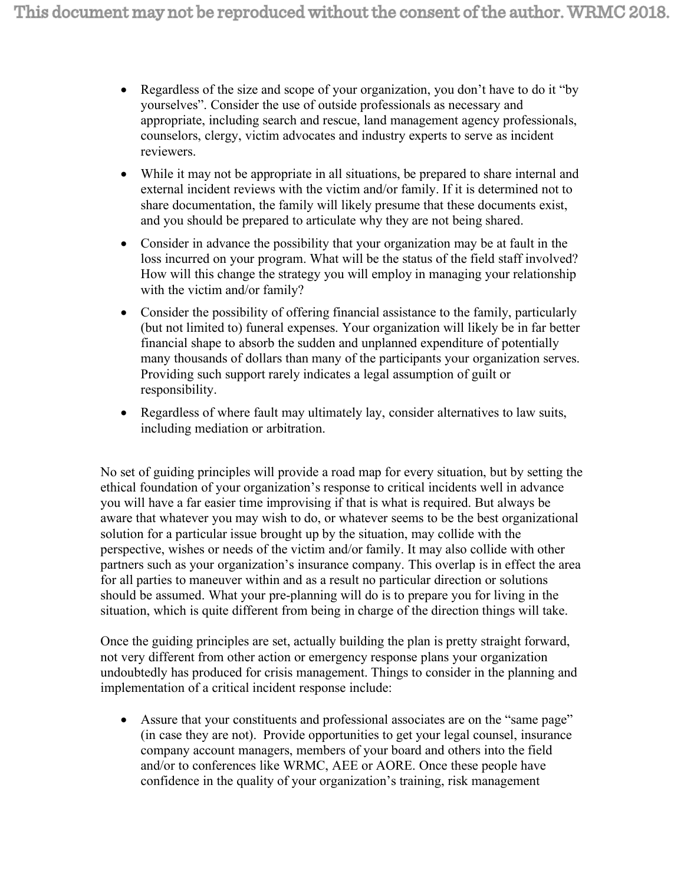- Regardless of the size and scope of your organization, you don't have to do it "by" yourselves". Consider the use of outside professionals as necessary and appropriate, including search and rescue, land management agency professionals, counselors, clergy, victim advocates and industry experts to serve as incident reviewers.
- While it may not be appropriate in all situations, be prepared to share internal and external incident reviews with the victim and/or family. If it is determined not to share documentation, the family will likely presume that these documents exist, and you should be prepared to articulate why they are not being shared.
- Consider in advance the possibility that your organization may be at fault in the loss incurred on your program. What will be the status of the field staff involved? How will this change the strategy you will employ in managing your relationship with the victim and/or family?
- Consider the possibility of offering financial assistance to the family, particularly (but not limited to) funeral expenses. Your organization will likely be in far better financial shape to absorb the sudden and unplanned expenditure of potentially many thousands of dollars than many of the participants your organization serves. Providing such support rarely indicates a legal assumption of guilt or responsibility.
- Regardless of where fault may ultimately lay, consider alternatives to law suits, including mediation or arbitration.

No set of guiding principles will provide a road map for every situation, but by setting the ethical foundation of your organization's response to critical incidents well in advance you will have a far easier time improvising if that is what is required. But always be aware that whatever you may wish to do, or whatever seems to be the best organizational solution for a particular issue brought up by the situation, may collide with the perspective, wishes or needs of the victim and/or family. It may also collide with other partners such as your organization's insurance company. This overlap is in effect the area for all parties to maneuver within and as a result no particular direction or solutions should be assumed. What your pre-planning will do is to prepare you for living in the situation, which is quite different from being in charge of the direction things will take.

Once the guiding principles are set, actually building the plan is pretty straight forward, not very different from other action or emergency response plans your organization undoubtedly has produced for crisis management. Things to consider in the planning and implementation of a critical incident response include:

• Assure that your constituents and professional associates are on the "same page" (in case they are not). Provide opportunities to get your legal counsel, insurance company account managers, members of your board and others into the field and/or to conferences like WRMC, AEE or AORE. Once these people have confidence in the quality of your organization's training, risk management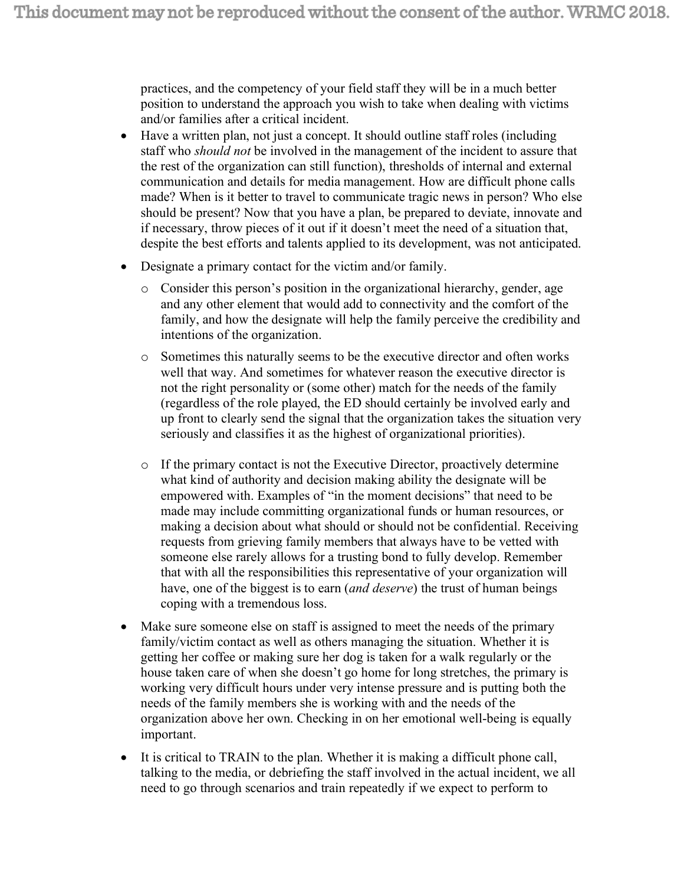practices, and the competency of your field staff they will be in a much better position to understand the approach you wish to take when dealing with victims and/or families after a critical incident.

- Have a written plan, not just a concept. It should outline staff roles (including staff who *should not* be involved in the management of the incident to assure that the rest of the organization can still function), thresholds of internal and external communication and details for media management. How are difficult phone calls made? When is it better to travel to communicate tragic news in person? Who else should be present? Now that you have a plan, be prepared to deviate, innovate and if necessary, throw pieces of it out if it doesn't meet the need of a situation that, despite the best efforts and talents applied to its development, was not anticipated.
- Designate a primary contact for the victim and/or family.
	- o Consider this person's position in the organizational hierarchy, gender, age and any other element that would add to connectivity and the comfort of the family, and how the designate will help the family perceive the credibility and intentions of the organization.
	- o Sometimes this naturally seems to be the executive director and often works well that way. And sometimes for whatever reason the executive director is not the right personality or (some other) match for the needs of the family (regardless of the role played, the ED should certainly be involved early and up front to clearly send the signal that the organization takes the situation very seriously and classifies it as the highest of organizational priorities).
	- $\circ$  If the primary contact is not the Executive Director, proactively determine what kind of authority and decision making ability the designate will be empowered with. Examples of "in the moment decisions" that need to be made may include committing organizational funds or human resources, or making a decision about what should or should not be confidential. Receiving requests from grieving family members that always have to be vetted with someone else rarely allows for a trusting bond to fully develop. Remember that with all the responsibilities this representative of your organization will have, one of the biggest is to earn (*and deserve*) the trust of human beings coping with a tremendous loss.
- Make sure someone else on staff is assigned to meet the needs of the primary family/victim contact as well as others managing the situation. Whether it is getting her coffee or making sure her dog is taken for a walk regularly or the house taken care of when she doesn't go home for long stretches, the primary is working very difficult hours under very intense pressure and is putting both the needs of the family members she is working with and the needs of the organization above her own. Checking in on her emotional well-being is equally important.
- It is critical to TRAIN to the plan. Whether it is making a difficult phone call, talking to the media, or debriefing the staff involved in the actual incident, we all need to go through scenarios and train repeatedly if we expect to perform to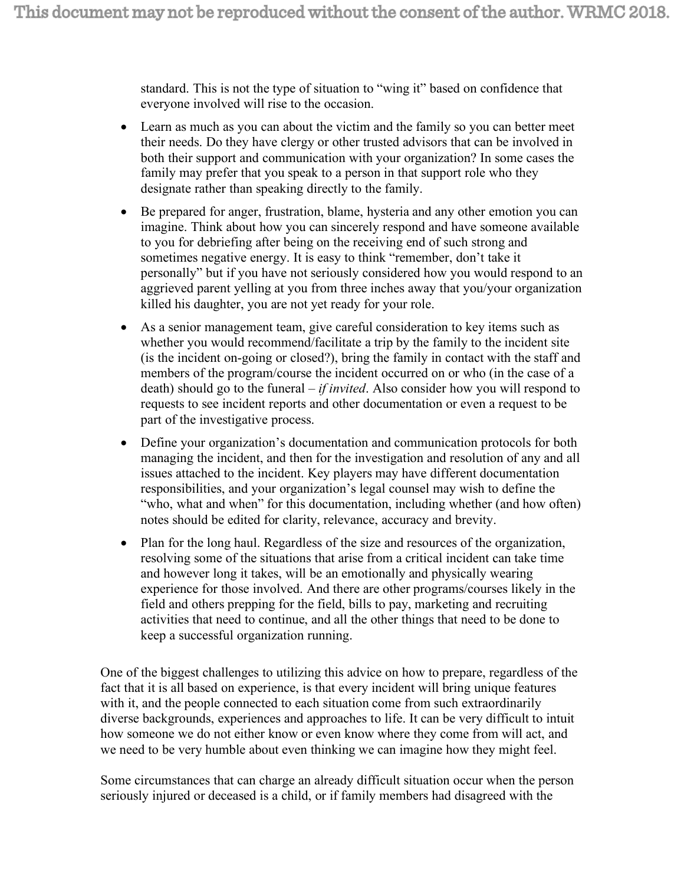standard. This is not the type of situation to "wing it" based on confidence that everyone involved will rise to the occasion.

- Learn as much as you can about the victim and the family so you can better meet their needs. Do they have clergy or other trusted advisors that can be involved in both their support and communication with your organization? In some cases the family may prefer that you speak to a person in that support role who they designate rather than speaking directly to the family.
- Be prepared for anger, frustration, blame, hysteria and any other emotion you can imagine. Think about how you can sincerely respond and have someone available to you for debriefing after being on the receiving end of such strong and sometimes negative energy. It is easy to think "remember, don't take it personally" but if you have not seriously considered how you would respond to an aggrieved parent yelling at you from three inches away that you/your organization killed his daughter, you are not yet ready for your role.
- As a senior management team, give careful consideration to key items such as whether you would recommend/facilitate a trip by the family to the incident site (is the incident on-going or closed?), bring the family in contact with the staff and members of the program/course the incident occurred on or who (in the case of a death) should go to the funeral – *if invited*. Also consider how you will respond to requests to see incident reports and other documentation or even a request to be part of the investigative process.
- Define your organization's documentation and communication protocols for both managing the incident, and then for the investigation and resolution of any and all issues attached to the incident. Key players may have different documentation responsibilities, and your organization's legal counsel may wish to define the "who, what and when" for this documentation, including whether (and how often) notes should be edited for clarity, relevance, accuracy and brevity.
- Plan for the long haul. Regardless of the size and resources of the organization, resolving some of the situations that arise from a critical incident can take time and however long it takes, will be an emotionally and physically wearing experience for those involved. And there are other programs/courses likely in the field and others prepping for the field, bills to pay, marketing and recruiting activities that need to continue, and all the other things that need to be done to keep a successful organization running.

One of the biggest challenges to utilizing this advice on how to prepare, regardless of the fact that it is all based on experience, is that every incident will bring unique features with it, and the people connected to each situation come from such extraordinarily diverse backgrounds, experiences and approaches to life. It can be very difficult to intuit how someone we do not either know or even know where they come from will act, and we need to be very humble about even thinking we can imagine how they might feel.

Some circumstances that can charge an already difficult situation occur when the person seriously injured or deceased is a child, or if family members had disagreed with the